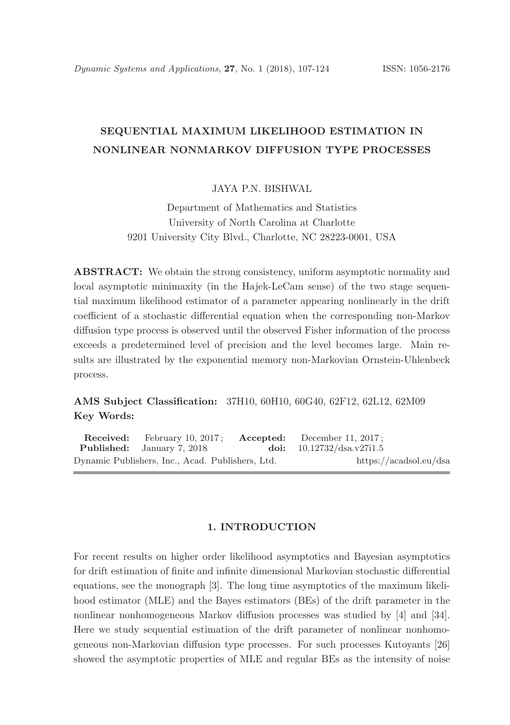# SEQUENTIAL MAXIMUM LIKELIHOOD ESTIMATION IN NONLINEAR NONMARKOV DIFFUSION TYPE PROCESSES

JAYA PN BISHWAL

Department of Mathematics and Statistics University of North Carolina at Charlotte 9201 University City Blvd., Charlotte, NC 28223-0001, USA

ABSTRACT: We obtain the strong consistency, uniform asymptotic normality and local asymptotic minimaxity (in the Hajek-LeCam sense) of the two stage sequential maximum likelihood estimator of a parameter appearing nonlinearly in the drift coefficient of a stochastic differential equation when the corresponding non-Markov diffusion type process is observed until the observed Fisher information of the process exceeds a predetermined level of precision and the level becomes large. Main results are illustrated by the exponential memory non-Markovian Ornstein-Uhlenbeck process.

AMS Subject Classification: 37H10, 60H10, 60G40, 62F12, 62L12, 62M09 Key Words:

Received: February 10, 2017; Accepted: December 11, 2017;<br>
Published: January 7, 2018 doi:  $10.12732/\text{dsa.v27i1.5}$ Published: January 7, 2018. doi: 10.12732/dsa.v27i1.5 Dynamic Publishers, Inc., Acad. Publishers, Ltd. https://acadsol.eu/dsa

# 1. INTRODUCTION

For recent results on higher order likelihood asymptotics and Bayesian asymptotics for drift estimation of finite and infinite dimensional Markovian stochastic differential equations, see the monograph [3]. The long time asymptotics of the maximum likelihood estimator (MLE) and the Bayes estimators (BEs) of the drift parameter in the nonlinear nonhomogeneous Markov diffusion processes was studied by [4] and [34]. Here we study sequential estimation of the drift parameter of nonlinear nonhomogeneous non-Markovian diffusion type processes. For such processes Kutoyants [26] showed the asymptotic properties of MLE and regular BEs as the intensity of noise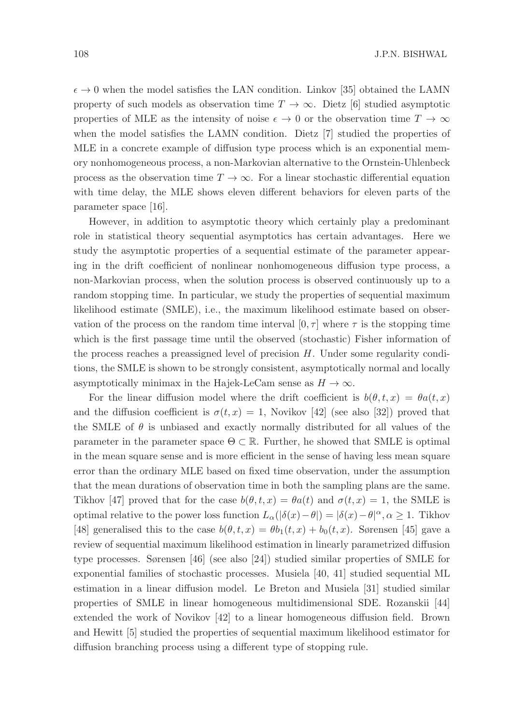$\epsilon \to 0$  when the model satisfies the LAN condition. Linkov [35] obtained the LAMN property of such models as observation time  $T \to \infty$ . Dietz [6] studied asymptotic properties of MLE as the intensity of noise  $\epsilon \to 0$  or the observation time  $T \to \infty$ when the model satisfies the LAMN condition. Dietz [7] studied the properties of MLE in a concrete example of diffusion type process which is an exponential memory nonhomogeneous process, a non-Markovian alternative to the Ornstein-Uhlenbeck process as the observation time  $T \to \infty$ . For a linear stochastic differential equation with time delay, the MLE shows eleven different behaviors for eleven parts of the parameter space [16].

However, in addition to asymptotic theory which certainly play a predominant role in statistical theory sequential asymptotics has certain advantages. Here we study the asymptotic properties of a sequential estimate of the parameter appearing in the drift coefficient of nonlinear nonhomogeneous diffusion type process, a non-Markovian process, when the solution process is observed continuously up to a random stopping time. In particular, we study the properties of sequential maximum likelihood estimate (SMLE), i.e., the maximum likelihood estimate based on observation of the process on the random time interval  $[0, \tau]$  where  $\tau$  is the stopping time which is the first passage time until the observed (stochastic) Fisher information of the process reaches a preassigned level of precision  $H$ . Under some regularity conditions, the SMLE is shown to be strongly consistent, asymptotically normal and locally asymptotically minimax in the Hajek-LeCam sense as  $H \to \infty$ .

For the linear diffusion model where the drift coefficient is  $b(\theta, t, x) = \theta a(t, x)$ and the diffusion coefficient is  $\sigma(t,x) = 1$ , Novikov [42] (see also [32]) proved that the SMLE of  $\theta$  is unbiased and exactly normally distributed for all values of the parameter in the parameter space  $\Theta \subset \mathbb{R}$ . Further, he showed that SMLE is optimal in the mean square sense and is more efficient in the sense of having less mean square error than the ordinary MLE based on fixed time observation, under the assumption that the mean durations of observation time in both the sampling plans are the same. Tikhov [47] proved that for the case  $b(\theta, t, x) = \theta a(t)$  and  $\sigma(t, x) = 1$ , the SMLE is optimal relative to the power loss function  $L_{\alpha}(|\delta(x)-\theta|)=|\delta(x)-\theta|^{\alpha}, \alpha \geq 1$ . Tikhov [48] generalised this to the case  $b(\theta, t, x) = \theta b_1(t, x) + b_0(t, x)$ . Sørensen [45] gave a review of sequential maximum likelihood estimation in linearly parametrized diffusion type processes. Sørensen [46] (see also [24]) studied similar properties of SMLE for exponential families of stochastic processes. Musiela [40, 41] studied sequential ML estimation in a linear diffusion model. Le Breton and Musiela [31] studied similar properties of SMLE in linear homogeneous multidimensional SDE. Rozanskii [44] extended the work of Novikov [42] to a linear homogeneous diffusion field. Brown and Hewitt [5] studied the properties of sequential maximum likelihood estimator for diffusion branching process using a different type of stopping rule.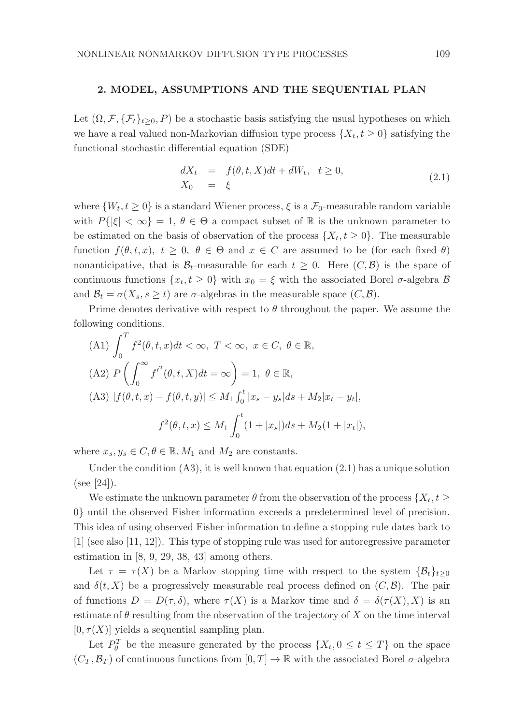#### 2. MODEL, ASSUMPTIONS AND THE SEQUENTIAL PLAN

Let  $(\Omega, \mathcal{F}, \{\mathcal{F}_t\}_{t>0}, P)$  be a stochastic basis satisfying the usual hypotheses on which we have a real valued non-Markovian diffusion type process  $\{X_t, t \geq 0\}$  satisfying the functional stochastic differential equation (SDE)

$$
dX_t = f(\theta, t, X)dt + dW_t, \quad t \ge 0,
$$
  
\n
$$
X_0 = \xi
$$
\n(2.1)

where  $\{W_t, t \geq 0\}$  is a standard Wiener process,  $\xi$  is a  $\mathcal{F}_0$ -measurable random variable with  $P\{|\xi| < \infty\} = 1, \theta \in \Theta$  a compact subset of R is the unknown parameter to be estimated on the basis of observation of the process  $\{X_t, t \geq 0\}$ . The measurable function  $f(\theta, t, x)$ ,  $t \geq 0$ ,  $\theta \in \Theta$  and  $x \in C$  are assumed to be (for each fixed  $\theta$ ) nonanticipative, that is  $\mathcal{B}_t$ -measurable for each  $t \geq 0$ . Here  $(C, \mathcal{B})$  is the space of continuous functions  $\{x_t, t \geq 0\}$  with  $x_0 = \xi$  with the associated Borel  $\sigma$ -algebra  $\beta$ and  $\mathcal{B}_t = \sigma(X_s, s \ge t)$  are  $\sigma$ -algebras in the measurable space  $(C, \mathcal{B})$ .

Prime denotes derivative with respect to  $\theta$  throughout the paper. We assume the following conditions.

(A1) 
$$
\int_0^T f^2(\theta, t, x) dt < \infty
$$
,  $T < \infty$ ,  $x \in C$ ,  $\theta \in \mathbb{R}$ ,  
\n(A2)  $P\left(\int_0^\infty f'^2(\theta, t, X) dt = \infty\right) = 1, \ \theta \in \mathbb{R}$ ,  
\n(A3)  $|f(\theta, t, x) - f(\theta, t, y)| \le M_1 \int_0^t |x_s - y_s| ds + M_2 |x_t - y_t|$ ,  
\n $f^2(\theta, t, x) \le M_1 \int_0^t (1 + |x_s|) ds + M_2 (1 + |x_t|)$ ,

where  $x_s, y_s \in C, \theta \in \mathbb{R}, M_1$  and  $M_2$  are constants.

Under the condition  $(A3)$ , it is well known that equation  $(2.1)$  has a unique solution (see [24]).

We estimate the unknown parameter  $\theta$  from the observation of the process  $\{X_t, t\}$ 0} until the observed Fisher information exceeds a predetermined level of precision. This idea of using observed Fisher information to define a stopping rule dates back to [1] (see also [11, 12]). This type of stopping rule was used for autoregressive parameter estimation in [8, 9, 29, 38, 43] among others.

Let  $\tau = \tau(X)$  be a Markov stopping time with respect to the system  $\{\mathcal{B}_t\}_{t>0}$ and  $\delta(t, X)$  be a progressively measurable real process defined on  $(C, \mathcal{B})$ . The pair of functions  $D = D(\tau, \delta)$ , where  $\tau(X)$  is a Markov time and  $\delta = \delta(\tau(X), X)$  is an estimate of  $\theta$  resulting from the observation of the trajectory of X on the time interval  $[0, \tau(X)]$  yields a sequential sampling plan.

Let  $P_{\theta}^T$  be the measure generated by the process  $\{X_t, 0 \le t \le T\}$  on the space  $(C_T, \mathcal{B}_T)$  of continuous functions from  $[0, T] \to \mathbb{R}$  with the associated Borel  $\sigma$ -algebra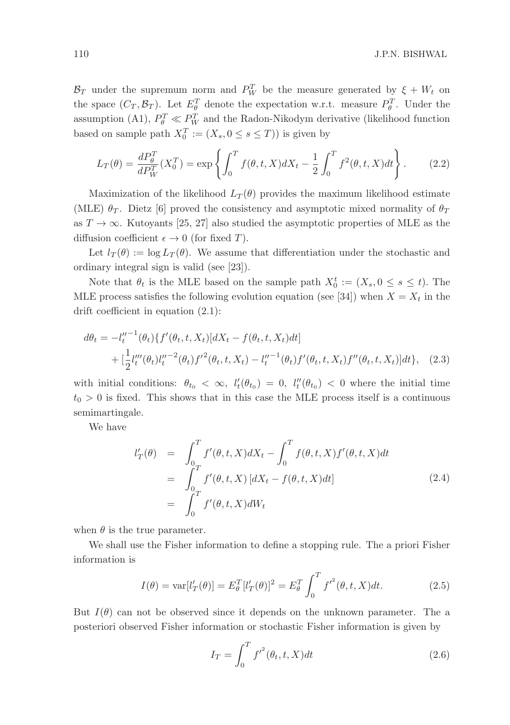$\mathcal{B}_T$  under the supremum norm and  $P_W^T$  be the measure generated by  $\xi + W_t$  on the space  $(C_T, \mathcal{B}_T)$ . Let  $E_{\theta}^T$  denote the expectation w.r.t. measure  $P_{\theta}^T$ . Under the assumption (A1),  $P_{\theta}^{T} \ll P_{W}^{T}$  and the Radon-Nikodym derivative (likelihood function based on sample path  $X_0^T := (X_s, 0 \le s \le T)$ ) is given by

$$
L_T(\theta) = \frac{dP_{\theta}^T}{dP_W^T}(X_0^T) = \exp\left\{ \int_0^T f(\theta, t, X) dX_t - \frac{1}{2} \int_0^T f^2(\theta, t, X) dt \right\}.
$$
 (2.2)

Maximization of the likelihood  $L_T(\theta)$  provides the maximum likelihood estimate (MLE)  $\theta_T$ . Dietz [6] proved the consistency and asymptotic mixed normality of  $\theta_T$ as  $T \to \infty$ . Kutoyants [25, 27] also studied the asymptotic properties of MLE as the diffusion coefficient  $\epsilon \to 0$  (for fixed T).

Let  $l_T(\theta) := \log L_T(\theta)$ . We assume that differentiation under the stochastic and ordinary integral sign is valid (see [23]).

Note that  $\theta_t$  is the MLE based on the sample path  $X_0^t := (X_s, 0 \le s \le t)$ . The MLE process satisfies the following evolution equation (see [34]) when  $X = X_t$  in the drift coefficient in equation (2.1):

$$
d\theta_t = -l_t''^{-1}(\theta_t) \{ f'(\theta_t, t, X_t) [dX_t - f(\theta_t, t, X_t) dt] + \left[ \frac{1}{2} l_t'''(\theta_t) l_t''^{-2}(\theta_t) {f'}^2(\theta_t, t, X_t) - l_t''^{-1}(\theta_t) f'(\theta_t, t, X_t) f''(\theta_t, t, X_t) \right] dt \}, \quad (2.3)
$$

with initial conditions:  $\theta_{t_0} < \infty$ ,  $l'_t(\theta_{t_0}) = 0$ ,  $l''_t(\theta_{t_0}) < 0$  where the initial time  $t_0 > 0$  is fixed. This shows that in this case the MLE process itself is a continuous semimartingale.

We have

$$
l'_{T}(\theta) = \int_{0}^{T} f'(\theta, t, X) dX_{t} - \int_{0}^{T} f(\theta, t, X) f'(\theta, t, X) dt
$$
  
= 
$$
\int_{0}^{T} f'(\theta, t, X) [dX_{t} - f(\theta, t, X) dt]
$$
  
= 
$$
\int_{0}^{T} f'(\theta, t, X) dW_{t}
$$
 (2.4)

when  $\theta$  is the true parameter.

We shall use the Fisher information to define a stopping rule. The a priori Fisher information is

$$
I(\theta) = \text{var}[l'_T(\theta)] = E_{\theta}^T [l'_T(\theta)]^2 = E_{\theta}^T \int_0^T f'^2(\theta, t, X) dt.
$$
 (2.5)

But  $I(\theta)$  can not be observed since it depends on the unknown parameter. The a posteriori observed Fisher information or stochastic Fisher information is given by

$$
I_T = \int_0^T f'^2(\theta_t, t, X)dt
$$
\n(2.6)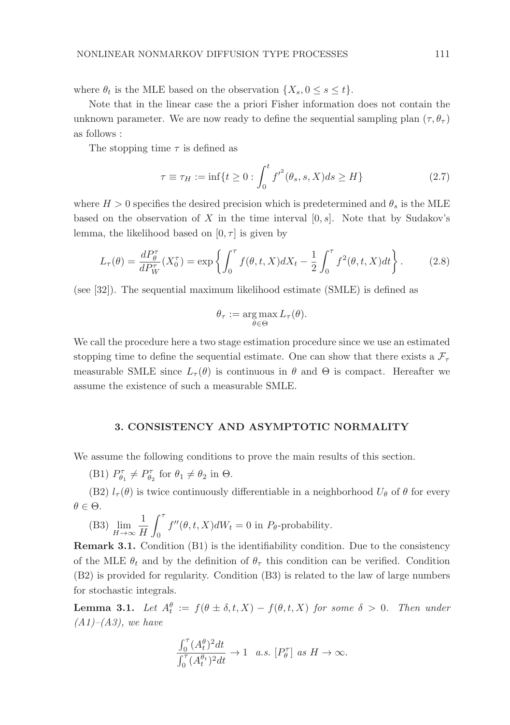where  $\theta_t$  is the MLE based on the observation  $\{X_s, 0 \le s \le t\}.$ 

Note that in the linear case the a priori Fisher information does not contain the unknown parameter. We are now ready to define the sequential sampling plan  $(\tau, \theta_{\tau})$ as follows :

The stopping time  $\tau$  is defined as

$$
\tau \equiv \tau_H := \inf \{ t \ge 0 : \int_0^t f'^2(\theta_s, s, X) ds \ge H \}
$$
\n(2.7)

where  $H > 0$  specifies the desired precision which is predetermined and  $\theta_s$  is the MLE based on the observation of X in the time interval  $[0, s]$ . Note that by Sudakov's lemma, the likelihood based on  $[0, \tau]$  is given by

$$
L_{\tau}(\theta) = \frac{dP_{\theta}^{\tau}}{dP_{W}^{\tau}}(X_{0}^{\tau}) = \exp\left\{ \int_{0}^{\tau} f(\theta, t, X) dX_{t} - \frac{1}{2} \int_{0}^{\tau} f^{2}(\theta, t, X) dt \right\}.
$$
 (2.8)

(see [32]). The sequential maximum likelihood estimate (SMLE) is defined as

$$
\theta_{\tau} := \underset{\theta \in \Theta}{\arg \max} L_{\tau}(\theta).
$$

We call the procedure here a two stage estimation procedure since we use an estimated stopping time to define the sequential estimate. One can show that there exists a  $\mathcal{F}_{\tau}$ measurable SMLE since  $L_{\tau}(\theta)$  is continuous in  $\theta$  and  $\Theta$  is compact. Hereafter we assume the existence of such a measurable SMLE.

## 3. CONSISTENCY AND ASYMPTOTIC NORMALITY

We assume the following conditions to prove the main results of this section.

(B1)  $P_{\theta_1}^{\tau} \neq P_{\theta_2}^{\tau}$  for  $\theta_1 \neq \theta_2$  in  $\Theta$ .

(B2)  $l_{\tau}(\theta)$  is twice continuously differentiable in a neighborhood  $U_{\theta}$  of  $\theta$  for every  $\theta \in \Theta$ .

(B3) 
$$
\lim_{H \to \infty} \frac{1}{H} \int_0^{\tau} f''(\theta, t, X) dW_t = 0
$$
 in  $P_{\theta}$ -probability.

Remark 3.1. Condition (B1) is the identifiability condition. Due to the consistency of the MLE  $\theta_t$  and by the definition of  $\theta_\tau$  this condition can be verified. Condition (B2) is provided for regularity. Condition (B3) is related to the law of large numbers for stochastic integrals.

**Lemma 3.1.** Let  $A_t^{\theta} := f(\theta \pm \delta, t, X) - f(\theta, t, X)$  for some  $\delta > 0$ . Then under  $(A1)–(A3)$ , we have

$$
\frac{\int_0^\tau (A^\theta_t)^2 dt}{\int_0^\tau (A^\theta_t)^2 dt} \to 1 \quad a.s.\ [P_\theta^\tau] \ as\ H \to \infty.
$$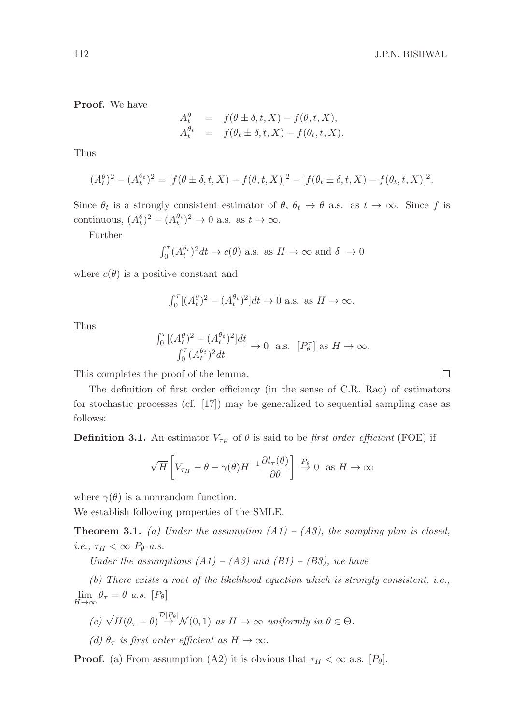Proof. We have

$$
A_t^{\theta} = f(\theta \pm \delta, t, X) - f(\theta, t, X),
$$
  

$$
A_t^{\theta_t} = f(\theta_t \pm \delta, t, X) - f(\theta_t, t, X).
$$

Thus

$$
(A_t^{\theta})^2 - (A_t^{\theta_t})^2 = [f(\theta \pm \delta, t, X) - f(\theta, t, X)]^2 - [f(\theta_t \pm \delta, t, X) - f(\theta_t, t, X)]^2.
$$

Since  $\theta_t$  is a strongly consistent estimator of  $\theta$ ,  $\theta_t \to \theta$  a.s. as  $t \to \infty$ . Since f is continuous,  $(A_t^{\theta})^2 - (A_t^{\theta_t})^2 \to 0$  a.s. as  $t \to \infty$ .

Further

$$
\int_0^{\tau} (A_t^{\theta_t})^2 dt \to c(\theta)
$$
 a.s. as  $H \to \infty$  and  $\delta \to 0$ 

where  $c(\theta)$  is a positive constant and

$$
\int_0^\tau \left[ (A_t^\theta)^2 - (A_t^{\theta_t})^2 \right] dt \to 0 \text{ a.s. as } H \to \infty.
$$

Thus

$$
\frac{\int_0^{\tau} [(A_t^{\theta})^2 - (A_t^{\theta_t})^2] dt}{\int_0^{\tau} (A_t^{\theta_t})^2 dt} \to 0 \text{ a.s. } [P_\theta^{\tau}] \text{ as } H \to \infty.
$$

This completes the proof of the lemma.

The definition of first order efficiency (in the sense of C.R. Rao) of estimators for stochastic processes (cf. [17]) may be generalized to sequential sampling case as follows:

**Definition 3.1.** An estimator  $V_{\tau_H}$  of  $\theta$  is said to be first order efficient (FOE) if

$$
\sqrt{H}\left[V_{\tau_H} - \theta - \gamma(\theta)H^{-1}\frac{\partial l_{\tau}(\theta)}{\partial \theta}\right] \xrightarrow{P_{\theta}} 0 \text{ as } H \to \infty
$$

where  $\gamma(\theta)$  is a nonrandom function.

We establish following properties of the SMLE.

**Theorem 3.1.** (a) Under the assumption  $(A1) - (A3)$ , the sampling plan is closed, i.e.,  $\tau_H < \infty$   $P_{\theta}$ -a.s.

Under the assumptions  $(A1) - (A3)$  and  $(B1) - (B3)$ , we have

(b) There exists a root of the likelihood equation which is strongly consistent, i.e.,  $\lim_{H \to \infty} \theta_{\tau} = \theta$  a.s.  $[P_{\theta}]$ 

$$
(c) \sqrt{H}(\theta_{\tau} - \theta) \overset{\mathcal{D}[P_{\theta}]}{\rightarrow} \mathcal{N}(0, 1) \text{ as } H \rightarrow \infty \text{ uniformly in } \theta \in \Theta.
$$

(d)  $\theta_{\tau}$  is first order efficient as  $H \to \infty$ .

**Proof.** (a) From assumption (A2) it is obvious that  $\tau_H < \infty$  a.s.  $[P_\theta]$ .

 $\Box$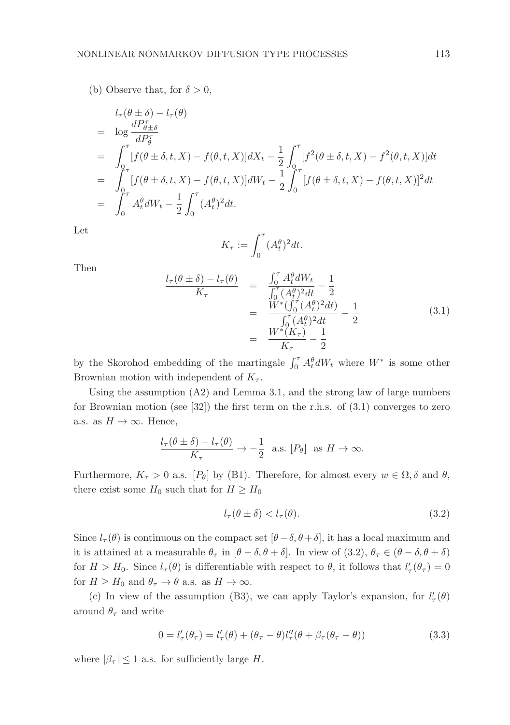(b) Observe that, for  $\delta > 0$ ,

$$
l_{\tau}(\theta \pm \delta) - l_{\tau}(\theta)
$$
  
=  $\log \frac{dP_{\theta \pm \delta}^{\tau}}{dP_{\theta}^{\tau}}$   
=  $\int_{0}^{\tau} [f(\theta \pm \delta, t, X) - f(\theta, t, X)] dX_t - \frac{1}{2} \int_{0}^{\tau} [f^2(\theta \pm \delta, t, X) - f^2(\theta, t, X)] dt$   
=  $\int_{0}^{\tau} [f(\theta \pm \delta, t, X) - f(\theta, t, X)] dW_t - \frac{1}{2} \int_{0}^{\tau} [f(\theta \pm \delta, t, X) - f(\theta, t, X)]^2 dt$   
=  $\int_{0}^{\tau} A_t^{\theta} dW_t - \frac{1}{2} \int_{0}^{\tau} (A_t^{\theta})^2 dt.$ 

Let

$$
K_{\tau} := \int_0^{\tau} (A_t^{\theta})^2 dt.
$$

Then

$$
\frac{l_{\tau}(\theta \pm \delta) - l_{\tau}(\theta)}{K_{\tau}} = \frac{\int_0^{\tau} A_t^{\theta} dW_t}{\int_0^{\tau} (A_t^{\theta})^2 dt} - \frac{1}{2}
$$
\n
$$
= \frac{W^*(\int_0^{\tau} (A_t^{\theta})^2 dt)}{\int_0^{\tau} (A_t^{\theta})^2 dt} - \frac{1}{2}
$$
\n
$$
= \frac{W^*(K_{\tau})}{K_{\tau}} - \frac{1}{2}
$$
\n(3.1)

by the Skorohod embedding of the martingale  $\int_0^{\tau} A_t^{\theta} dW_t$  where  $W^*$  is some other Brownian motion with independent of  $K_{\tau}$ .

Using the assumption  $(A2)$  and Lemma 3.1, and the strong law of large numbers for Brownian motion (see [32]) the first term on the r.h.s. of  $(3.1)$  converges to zero a.s. as  $H \to \infty$ . Hence,

$$
\frac{l_{\tau}(\theta \pm \delta) - l_{\tau}(\theta)}{K_{\tau}} \to -\frac{1}{2} \text{ a.s. } [P_{\theta}] \text{ as } H \to \infty.
$$

Furthermore,  $K_{\tau} > 0$  a.s.  $[P_{\theta}]$  by (B1). Therefore, for almost every  $w \in \Omega$ ,  $\delta$  and  $\theta$ , there exist some  $H_0$  such that for  $H \geq H_0$ 

$$
l_{\tau}(\theta \pm \delta) < l_{\tau}(\theta). \tag{3.2}
$$

Since  $l_{\tau}(\theta)$  is continuous on the compact set  $[\theta - \delta, \theta + \delta]$ , it has a local maximum and it is attained at a measurable  $\theta_{\tau}$  in  $[\theta - \delta, \theta + \delta]$ . In view of (3.2),  $\theta_{\tau} \in (\theta - \delta, \theta + \delta)$ for  $H > H_0$ . Since  $l_\tau(\theta)$  is differentiable with respect to  $\theta$ , it follows that  $l'_\tau(\theta_\tau) = 0$ for  $H \geq H_0$  and  $\theta_\tau \to \theta$  a.s. as  $H \to \infty$ .

(c) In view of the assumption (B3), we can apply Taylor's expansion, for  $l'_{\tau}(\theta)$ around  $\theta_{\tau}$  and write

$$
0 = l'_{\tau}(\theta_{\tau}) = l'_{\tau}(\theta) + (\theta_{\tau} - \theta)l''_{\tau}(\theta + \beta_{\tau}(\theta_{\tau} - \theta))
$$
\n(3.3)

where  $|\beta_{\tau}| \leq 1$  a.s. for sufficiently large H.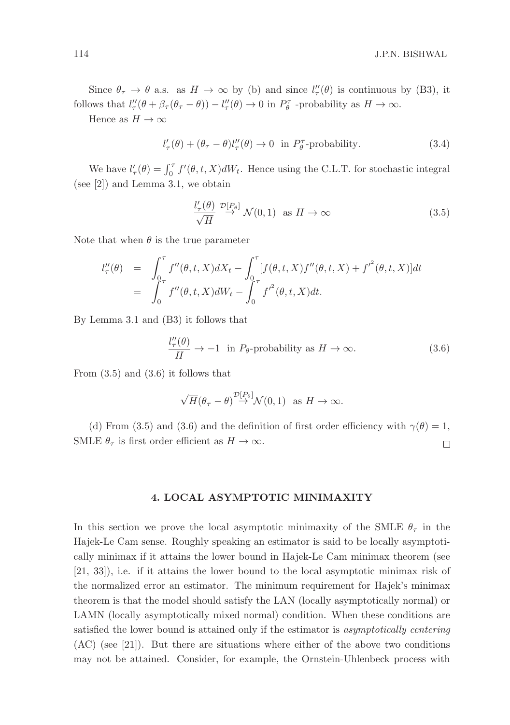Since  $\theta_{\tau} \to \theta$  a.s. as  $H \to \infty$  by (b) and since  $l''_{\tau}(\theta)$  is continuous by (B3), it follows that  $l''_{\tau}(\theta + \beta_{\tau}(\theta_{\tau} - \theta)) - l''_{\tau}(\theta) \to 0$  in  $P_{\theta}^{\tau}$  -probability as  $H \to \infty$ .

Hence as  $H \to \infty$ 

$$
l'_{\tau}(\theta) + (\theta_{\tau} - \theta)l''_{\tau}(\theta) \to 0 \quad \text{in } P_{\theta}^{\tau} \text{-probability.}
$$
 (3.4)

We have  $l'_{\tau}(\theta) = \int_0^{\tau} f'(\theta, t, X) dW_t$ . Hence using the C.L.T. for stochastic integral (see [2]) and Lemma 3.1, we obtain

$$
\frac{l'_{\tau}(\theta)}{\sqrt{H}} \stackrel{\mathcal{D}[P_{\theta}]}{\to} \mathcal{N}(0,1) \text{ as } H \to \infty
$$
 (3.5)

Note that when  $\theta$  is the true parameter

$$
l''_{\tau}(\theta) = \int_0^{\tau} f''(\theta, t, X) dX_t - \int_0^{\tau} [f(\theta, t, X) f''(\theta, t, X) + {f'}^2(\theta, t, X)] dt
$$
  
= 
$$
\int_0^{\tau} f''(\theta, t, X) dW_t - \int_0^{\tau} f'^2(\theta, t, X) dt.
$$

By Lemma 3.1 and (B3) it follows that

$$
\frac{l_{\tau}^{\prime\prime}(\theta)}{H} \to -1 \quad \text{in } P_{\theta} \text{-probability as } H \to \infty. \tag{3.6}
$$

From (3.5) and (3.6) it follows that

$$
\sqrt{H}(\theta_{\tau}-\theta) \stackrel{\mathcal{D}[P_{\theta}]}{\rightarrow} \mathcal{N}(0,1)
$$
 as  $H \to \infty$ .

(d) From (3.5) and (3.6) and the definition of first order efficiency with  $\gamma(\theta) = 1$ , SMLE  $\theta_{\tau}$  is first order efficient as  $H \to \infty$ .  $\Box$ 

## 4. LOCAL ASYMPTOTIC MINIMAXITY

In this section we prove the local asymptotic minimaxity of the SMLE  $\theta_{\tau}$  in the Hajek-Le Cam sense. Roughly speaking an estimator is said to be locally asymptotically minimax if it attains the lower bound in Hajek-Le Cam minimax theorem (see [21, 33]), i.e. if it attains the lower bound to the local asymptotic minimax risk of the normalized error an estimator. The minimum requirement for Hajek's minimax theorem is that the model should satisfy the LAN (locally asymptotically normal) or LAMN (locally asymptotically mixed normal) condition. When these conditions are satisfied the lower bound is attained only if the estimator is asymptotically centering (AC) (see [21]). But there are situations where either of the above two conditions may not be attained. Consider, for example, the Ornstein-Uhlenbeck process with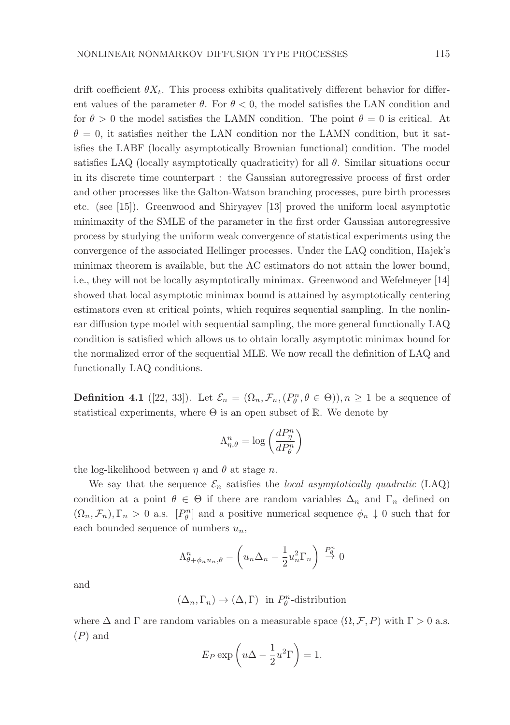drift coefficient  $\theta X_t$ . This process exhibits qualitatively different behavior for different values of the parameter  $\theta$ . For  $\theta < 0$ , the model satisfies the LAN condition and for  $\theta > 0$  the model satisfies the LAMN condition. The point  $\theta = 0$  is critical. At  $\theta = 0$ , it satisfies neither the LAN condition nor the LAMN condition, but it satisfies the LABF (locally asymptotically Brownian functional) condition. The model satisfies LAQ (locally asymptotically quadraticity) for all  $\theta$ . Similar situations occur in its discrete time counterpart : the Gaussian autoregressive process of first order and other processes like the Galton-Watson branching processes, pure birth processes etc. (see [15]). Greenwood and Shiryayev [13] proved the uniform local asymptotic minimaxity of the SMLE of the parameter in the first order Gaussian autoregressive process by studying the uniform weak convergence of statistical experiments using the convergence of the associated Hellinger processes. Under the LAQ condition, Hajek's minimax theorem is available, but the AC estimators do not attain the lower bound, i.e., they will not be locally asymptotically minimax. Greenwood and Wefelmeyer [14] showed that local asymptotic minimax bound is attained by asymptotically centering estimators even at critical points, which requires sequential sampling. In the nonlinear diffusion type model with sequential sampling, the more general functionally LAQ condition is satisfied which allows us to obtain locally asymptotic minimax bound for the normalized error of the sequential MLE. We now recall the definition of LAQ and functionally LAQ conditions.

**Definition 4.1** ([22, 33]). Let  $\mathcal{E}_n = (\Omega_n, \mathcal{F}_n, (P_\theta^n, \theta \in \Theta)), n \ge 1$  be a sequence of statistical experiments, where  $\Theta$  is an open subset of R. We denote by

$$
\Lambda^n_{\eta,\theta} = \log\left(\frac{dP^n_{\eta}}{dP^n_{\theta}}\right)
$$

the log-likelihood between  $\eta$  and  $\theta$  at stage n.

We say that the sequence  $\mathcal{E}_n$  satisfies the local asymptotically quadratic (LAQ) condition at a point  $\theta \in \Theta$  if there are random variables  $\Delta_n$  and  $\Gamma_n$  defined on  $(\Omega_n, \mathcal{F}_n), \Gamma_n > 0$  a.s.  $[P_\theta^n]$  and a positive numerical sequence  $\phi_n \downarrow 0$  such that for each bounded sequence of numbers  $u_n$ ,

$$
\Lambda_{\theta+\phi_n u_n,\theta}^n - \left(u_n \Delta_n - \frac{1}{2} u_n^2 \Gamma_n\right) \stackrel{P_0^n}{\rightarrow} 0
$$

and

$$
(\Delta_n, \Gamma_n) \to (\Delta, \Gamma) \text{ in } P^n_{\theta} \text{-distribution}
$$

where  $\Delta$  and  $\Gamma$  are random variables on a measurable space  $(\Omega, \mathcal{F}, P)$  with  $\Gamma > 0$  a.s. (P) and

$$
E_P \exp\left(u\Delta - \frac{1}{2}u^2\Gamma\right) = 1.
$$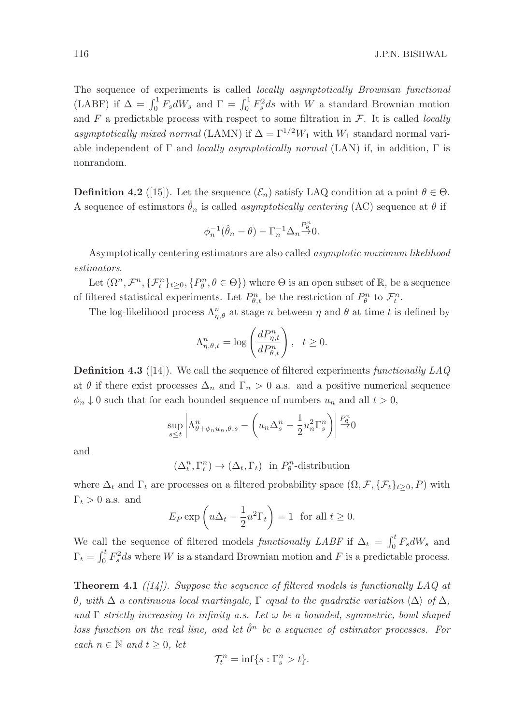The sequence of experiments is called locally asymptotically Brownian functional (LABF) if  $\Delta = \int_0^1 F_s dW_s$  and  $\Gamma = \int_0^1 F_s^2 ds$  with W a standard Brownian motion and F a predictable process with respect to some filtration in  $\mathcal{F}$ . It is called *locally* asymptotically mixed normal (LAMN) if  $\Delta = \Gamma^{1/2}W_1$  with  $W_1$  standard normal variable independent of  $\Gamma$  and *locally asymptotically normal* (LAN) if, in addition,  $\Gamma$  is nonrandom.

**Definition 4.2** ([15]). Let the sequence  $(\mathcal{E}_n)$  satisfy LAQ condition at a point  $\theta \in \Theta$ . A sequence of estimators  $\hat{\theta}_n$  is called *asymptotically centering* (AC) sequence at  $\theta$  if

$$
\phi_n^{-1}(\hat{\theta}_n - \theta) - \Gamma_n^{-1} \Delta_n \overset{P_\theta^n}{\rightarrow} 0.
$$

Asymptotically centering estimators are also called asymptotic maximum likelihood estimators.

Let  $(\Omega^n, \mathcal{F}^n, \{\mathcal{F}^n_t\}_{t\geq0}, \{P^n_\theta, \theta \in \Theta\})$  where  $\Theta$  is an open subset of  $\mathbb{R}$ , be a sequence of filtered statistical experiments. Let  $P_{\theta,t}^n$  be the restriction of  $P_{\theta}^n$  to  $\mathcal{F}_t^n$ .

The log-likelihood process  $\Lambda_{\eta,\theta}^n$  at stage n between  $\eta$  and  $\theta$  at time t is defined by

$$
\Lambda_{\eta,\theta,t}^n = \log\left(\frac{dP_{\eta,t}^n}{dP_{\theta,t}^n}\right), \quad t \ge 0.
$$

**Definition 4.3** ([14]). We call the sequence of filtered experiments functionally  $LAQ$ at  $\theta$  if there exist processes  $\Delta_n$  and  $\Gamma_n > 0$  a.s. and a positive numerical sequence  $\phi_n \downarrow 0$  such that for each bounded sequence of numbers  $u_n$  and all  $t > 0$ ,

$$
\sup_{s\leq t} \left| \Lambda_{\theta+\phi_n u_n,\theta,s}^n - \left( u_n \Delta_s^n - \frac{1}{2} u_n^2 \Gamma_s^n \right) \right| \stackrel{P_0^n}{\to} 0
$$

and

 $(\Delta_t^n, \Gamma_t^n) \to (\Delta_t, \Gamma_t)$  in  $P_\theta^n$ -distribution

where  $\Delta_t$  and  $\Gamma_t$  are processes on a filtered probability space  $(\Omega, \mathcal{F}, \{\mathcal{F}_t\}_{t>0}, P)$  with  $\Gamma_t > 0$  a.s. and

$$
E_P \exp\left(u\Delta_t - \frac{1}{2}u^2\Gamma_t\right) = 1
$$
 for all  $t \ge 0$ .

We call the sequence of filtered models *functionally LABF* if  $\Delta_t = \int_0^t F_s dW_s$  and  $\Gamma_t = \int_0^t F_s^2 ds$  where W is a standard Brownian motion and F is a predictable process.

**Theorem 4.1** ([14]). Suppose the sequence of filtered models is functionally LAQ at θ, with  $\Delta$  a continuous local martingale, Γ equal to the quadratic variation  $\langle \Delta \rangle$  of  $\Delta$ , and  $\Gamma$  strictly increasing to infinity a.s. Let  $\omega$  be a bounded, symmetric, bowl shaped loss function on the real line, and let  $\hat{\theta}^n$  be a sequence of estimator processes. For each  $n \in \mathbb{N}$  and  $t \geq 0$ , let

$$
\mathcal{T}_t^n = \inf\{s : \Gamma_s^n > t\}.
$$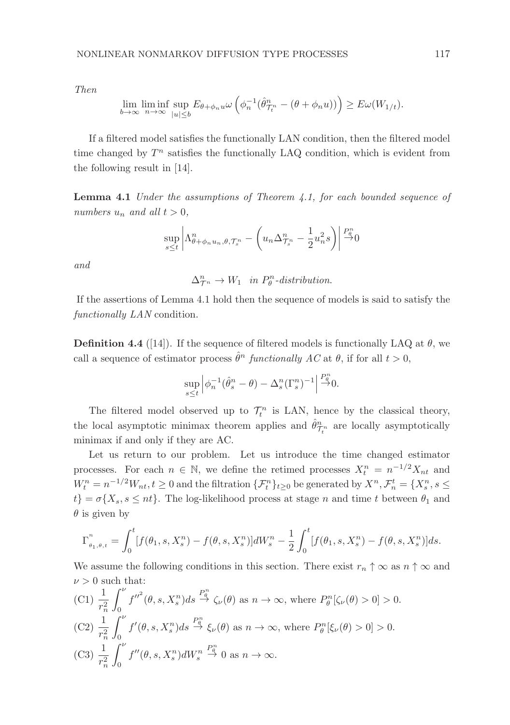Then

$$
\lim_{b \to \infty} \liminf_{n \to \infty} \sup_{|u| \le b} E_{\theta + \phi_n u} \omega \left( \phi_n^{-1} (\hat{\theta}_{\mathcal{T}_t^n}^n - (\theta + \phi_n u)) \right) \ge E \omega(W_{1/t}).
$$

If a filtered model satisfies the functionally LAN condition, then the filtered model time changed by  $T<sup>n</sup>$  satisfies the functionally LAQ condition, which is evident from the following result in [14].

**Lemma 4.1** Under the assumptions of Theorem 4.1, for each bounded sequence of numbers  $u_n$  and all  $t > 0$ ,

$$
\sup_{s\leq t}\left|\Lambda_{\theta+\phi_n u_n,\theta,\mathcal{T}_s^n}^n-\left(u_n\Delta_{\mathcal{T}_s^n}^n-\frac{1}{2}u_n^2s\right)\right|\overset{P_\theta^n}{\to}0
$$

and

 $\Delta_{\mathcal{T}^n}^n \to W_1$  in  $P_\theta^n$ -distribution.

If the assertions of Lemma 4.1 hold then the sequence of models is said to satisfy the functionally LAN condition.

**Definition 4.4** ([14]). If the sequence of filtered models is functionally LAQ at  $\theta$ , we call a sequence of estimator process  $\hat{\theta}^n$  functionally AC at  $\theta$ , if for all  $t > 0$ ,

$$
\sup_{s\leq t} \left| \phi_n^{-1}(\hat{\theta}_s^n - \theta) - \Delta_s^n(\Gamma_s^n)^{-1} \right| \stackrel{P_\theta^n}{\to} 0.
$$

The filtered model observed up to  $\mathcal{T}_t^n$  is LAN, hence by the classical theory, the local asymptotic minimax theorem applies and  $\hat{\theta}_{\tau_i^n}^n$  are locally asymptotically minimax if and only if they are AC.

Let us return to our problem. Let us introduce the time changed estimator processes. For each  $n \in \mathbb{N}$ , we define the retimed processes  $X_t^n = n^{-1/2} X_{nt}$  and  $W_t^n = n^{-1/2}W_{nt}$ ,  $t \ge 0$  and the filtration  $\{\mathcal{F}_t^n\}_{t \ge 0}$  be generated by  $X^n$ ,  $\mathcal{F}_n^t = \{X_s^n, s \le 0\}$  $t$ } =  $\sigma\{X_s, s \le nt\}$ . The log-likelihood process at stage n and time t between  $\theta_1$  and  $\theta$  is given by

$$
\Gamma_{\theta_1,\theta,t}^n = \int_0^t [f(\theta_1,s,X_s^n) - f(\theta,s,X_s^n)]dW_s^n - \frac{1}{2}\int_0^t [f(\theta_1,s,X_s^n) - f(\theta,s,X_s^n)]ds.
$$

We assume the following conditions in this section. There exist  $r_n \uparrow \infty$  as  $n \uparrow \infty$  and  $\nu > 0$  such that:

(C1)  $\frac{1}{r_n^2}$  $\int^{\nu}$ 0  $f''^{2}(\theta, s, X_{s}^{n})ds \stackrel{P_{\theta}^{n}}{\rightarrow} \zeta_{\nu}(\theta)$  as  $n \rightarrow \infty$ , where  $P_{\theta}^{n}[\zeta_{\nu}(\theta) > 0] > 0$ . (C2)  $\frac{1}{r_n^2}$  $\int^{\nu}$  $\theta$  $f'(\theta, s, X_s^n)ds \stackrel{P_0^n}{\rightarrow} \xi_{\nu}(\theta)$  as  $n \rightarrow \infty$ , where  $P_{\theta}^n[\xi_{\nu}(\theta) > 0] > 0$ . (C3)  $\frac{1}{r_n^2}$  $\int^{\nu}$  $\theta$  $f''(\theta, s, X_s^n)dW_s^n$  $\stackrel{P^n_a}{\rightarrow} 0$  as  $n \rightarrow \infty$ .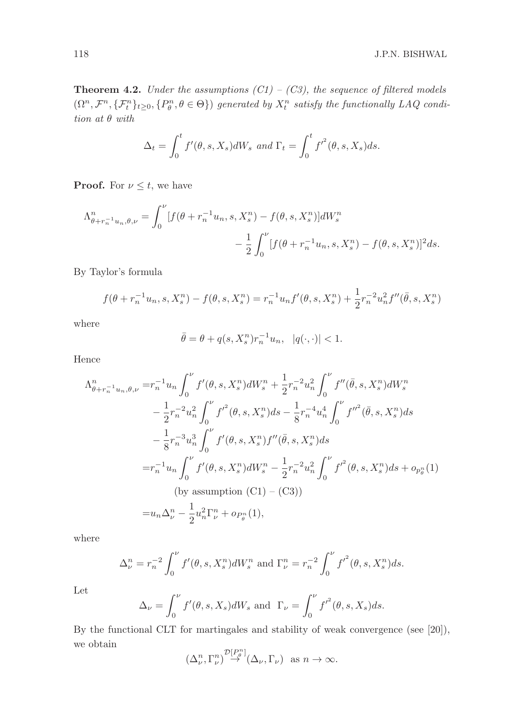**Theorem 4.2.** Under the assumptions  $(C1) - (C3)$ , the sequence of filtered models  $(\Omega^n, \mathcal{F}^n, \{\mathcal{F}^n_t\}_{t\geq 0}, \{P^n_\theta, \theta \in \Theta\})$  generated by  $X^n_t$  satisfy the functionally LAQ condition at θ with

$$
\Delta_t = \int_0^t f'(\theta, s, X_s) dW_s \text{ and } \Gamma_t = \int_0^t f'^2(\theta, s, X_s) ds.
$$

**Proof.** For  $\nu \leq t$ , we have

$$
\Lambda_{\theta+r_{n}^{-1}u_{n},\theta,\nu}^{n} = \int_{0}^{\nu} [f(\theta+r_{n}^{-1}u_{n}, s, X_{s}^{n}) - f(\theta, s, X_{s}^{n})]dW_{s}^{n} - \frac{1}{2} \int_{0}^{\nu} [f(\theta+r_{n}^{-1}u_{n}, s, X_{s}^{n}) - f(\theta, s, X_{s}^{n})]^{2}ds.
$$

By Taylor's formula

$$
f(\theta + r_n^{-1}u_n, s, X_s^n) - f(\theta, s, X_s^n) = r_n^{-1}u_nf'(\theta, s, X_s^n) + \frac{1}{2}r_n^{-2}u_n^2f''(\bar{\theta}, s, X_s^n)
$$

where

$$
\bar{\theta} = \theta + q(s, X_s^n) r_n^{-1} u_n, \quad |q(\cdot, \cdot)| < 1.
$$

Hence

$$
\Lambda_{\theta+r_{n}^{-1}u_{n},\theta,\nu}^{n} = r_{n}^{-1}u_{n} \int_{0}^{\nu} f'(\theta,s,X_{s}^{n})dW_{s}^{n} + \frac{1}{2}r_{n}^{-2}u_{n}^{2} \int_{0}^{\nu} f''(\bar{\theta},s,X_{s}^{n})dW_{s}^{n}
$$

$$
- \frac{1}{2}r_{n}^{-2}u_{n}^{2} \int_{0}^{\nu} f'^{2}(\theta,s,X_{s}^{n})ds - \frac{1}{8}r_{n}^{-4}u_{n}^{4} \int_{0}^{\nu} f''^{2}(\bar{\theta},s,X_{s}^{n})ds
$$

$$
- \frac{1}{8}r_{n}^{-3}u_{n}^{3} \int_{0}^{\nu} f'(\theta,s,X_{s}^{n})f''(\bar{\theta},s,X_{s}^{n})ds
$$

$$
= r_{n}^{-1}u_{n} \int_{0}^{\nu} f'(\theta,s,X_{s}^{n})dW_{s}^{n} - \frac{1}{2}r_{n}^{-2}u_{n}^{2} \int_{0}^{\nu} f'^{2}(\theta,s,X_{s}^{n})ds + o_{p_{\theta}^{n}}(1)
$$
(by assumption (C1) – (C3))
$$
= u_{n}\Delta_{\nu}^{n} - \frac{1}{2}u_{n}^{2}\Gamma_{\nu}^{n} + o_{P_{\theta}^{n}}(1),
$$

where

$$
\Delta_{\nu}^{n} = r_{n}^{-2} \int_{0}^{\nu} f'(\theta, s, X_{s}^{n}) dW_{s}^{n} \text{ and } \Gamma_{\nu}^{n} = r_{n}^{-2} \int_{0}^{\nu} f'^{2}(\theta, s, X_{s}^{n}) ds.
$$

Let

$$
\Delta_{\nu} = \int_0^{\nu} f'(\theta, s, X_s) dW_s \text{ and } \Gamma_{\nu} = \int_0^{\nu} f'^2(\theta, s, X_s) ds.
$$

By the functional CLT for martingales and stability of weak convergence (see [20]), we obtain

$$
(\Delta_{\nu}^n, \Gamma_{\nu}^n) \stackrel{\mathcal{D}[P_{\theta}^n]}{\to} (\Delta_{\nu}, \Gamma_{\nu}) \text{ as } n \to \infty.
$$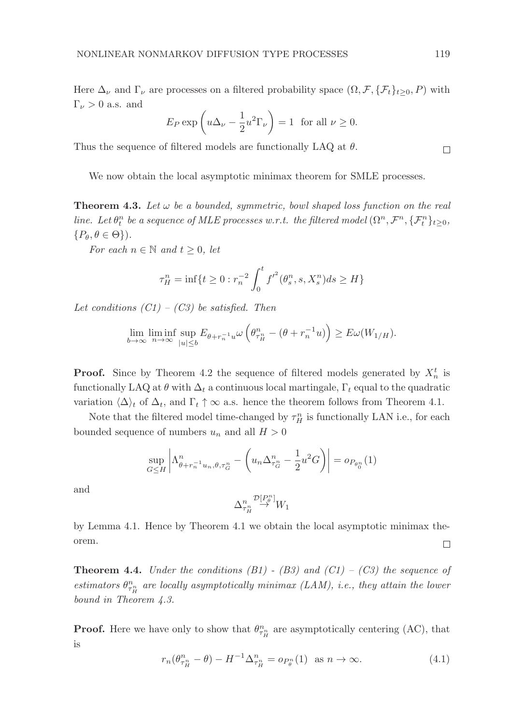Here  $\Delta_{\nu}$  and  $\Gamma_{\nu}$  are processes on a filtered probability space  $(\Omega, \mathcal{F}, \{\mathcal{F}_t\}_{t>0}, P)$  with  $\Gamma_{\nu} > 0$  a.s. and

$$
E_P \exp\left(u\Delta_\nu - \frac{1}{2}u^2\Gamma_\nu\right) = 1
$$
 for all  $\nu \ge 0$ .

Thus the sequence of filtered models are functionally LAQ at  $\theta$ .

We now obtain the local asymptotic minimax theorem for SMLE processes.

**Theorem 4.3.** Let  $\omega$  be a bounded, symmetric, bowl shaped loss function on the real line. Let  $\theta_t^n$  be a sequence of MLE processes w.r.t. the filtered model  $(\Omega^n, \mathcal{F}^n, \{\mathcal{F}_t^n\}_{t\geq 0},$  $\{P_{\theta}, \theta \in \Theta\}.$ 

For each  $n \in \mathbb{N}$  and  $t \geq 0$ , let

$$
\tau_H^n = \inf\{t \ge 0 : r_n^{-2} \int_0^t f'^2(\theta_s^n, s, X_s^n) ds \ge H\}
$$

Let conditions  $(C1) - (C3)$  be satisfied. Then

$$
\lim_{b \to \infty} \liminf_{n \to \infty} \sup_{|u| \le b} E_{\theta + r_n^{-1}u} \omega \left( \theta_{\tau_H^n}^n - (\theta + r_n^{-1}u) \right) \ge E \omega(W_{1/H}).
$$

**Proof.** Since by Theorem 4.2 the sequence of filtered models generated by  $X_n^t$  is functionally LAQ at  $\theta$  with  $\Delta_t$  a continuous local martingale,  $\Gamma_t$  equal to the quadratic variation  $\langle \Delta \rangle_t$  of  $\Delta_t$ , and  $\Gamma_t \uparrow \infty$  a.s. hence the theorem follows from Theorem 4.1.

Note that the filtered model time-changed by  $\tau^n_H$  is functionally LAN i.e., for each bounded sequence of numbers  $u_n$  and all  $H > 0$ 

$$
\sup_{G \leq H} \left| \Lambda_{\theta + r_n^{-1} u_n, \theta, \tau_G^n}^n - \left( u_n \Delta_{\tau_G^n}^n - \frac{1}{2} u^2 G \right) \right| = o_{P_{\theta_0^n}}(1)
$$

and

$$
\Delta_{\tau^n_H}^n \overset{\mathcal{D}[P_\theta^n]}{\to} W_1
$$

by Lemma 4.1. Hence by Theorem 4.1 we obtain the local asymptotic minimax theorem.  $\Box$ 

**Theorem 4.4.** Under the conditions  $(B1)$  -  $(B3)$  and  $(C1)$  -  $(C3)$  the sequence of estimators  $\theta_{\tau_R^n}^n$  are locally asymptotically minimax (LAM), i.e., they attain the lower bound in Theorem 4.3.

**Proof.** Here we have only to show that  $\theta_{\tau_R^n}^n$  are asymptotically centering (AC), that is

$$
r_n(\theta_{\tau^n_H}^n - \theta) - H^{-1} \Delta_{\tau^n_H}^n = o_{P_\theta^n}(1) \text{ as } n \to \infty.
$$
 (4.1)

 $\Box$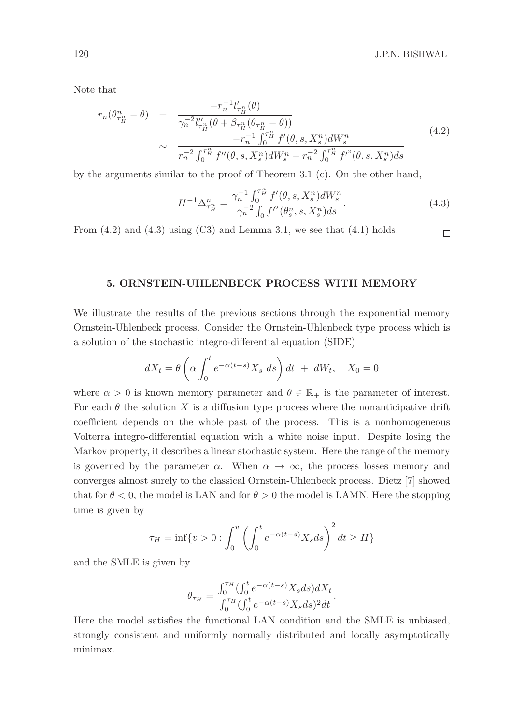Note that

$$
r_n(\theta_{\tau_H^n}^n - \theta) = \frac{-r_n^{-1}l'_{\tau_H^n}(\theta)}{\gamma_n^{-2}l''_{\tau_H^n}(\theta + \beta_{\tau_H^n}(\theta_{\tau_H^n} - \theta))} \sim \frac{-r_n^{-1}\int_0^{\tau_H^n} f'(\theta, s, X_s^n)dW_s^n}{r_n^{-2}\int_0^{\tau_H^n} f''(\theta, s, X_s^n)dW_s^n - r_n^{-2}\int_0^{\tau_H^n} f'^2(\theta, s, X_s^n)ds} \tag{4.2}
$$

by the arguments similar to the proof of Theorem 3.1 (c). On the other hand,

$$
H^{-1}\Delta_{\tau_H^n}^n = \frac{\gamma_n^{-1} \int_0^{\tau_H^n} f'(\theta, s, X_s^n) dW_s^n}{\gamma_n^{-2} \int_0^{\tau^2} (\theta_s^n, s, X_s^n) ds}.
$$
\n(4.3)

From  $(4.2)$  and  $(4.3)$  using  $(C3)$  and Lemma 3.1, we see that  $(4.1)$  holds.

#### $\Box$

## 5. ORNSTEIN-UHLENBECK PROCESS WITH MEMORY

We illustrate the results of the previous sections through the exponential memory Ornstein-Uhlenbeck process. Consider the Ornstein-Uhlenbeck type process which is a solution of the stochastic integro-differential equation (SIDE)

$$
dX_t = \theta \left( \alpha \int_0^t e^{-\alpha(t-s)} X_s \ ds \right) dt + dW_t, \quad X_0 = 0
$$

where  $\alpha > 0$  is known memory parameter and  $\theta \in \mathbb{R}_+$  is the parameter of interest. For each  $\theta$  the solution X is a diffusion type process where the nonanticipative drift coefficient depends on the whole past of the process. This is a nonhomogeneous Volterra integro-differential equation with a white noise input. Despite losing the Markov property, it describes a linear stochastic system. Here the range of the memory is governed by the parameter  $\alpha$ . When  $\alpha \to \infty$ , the process losses memory and converges almost surely to the classical Ornstein-Uhlenbeck process. Dietz [7] showed that for  $\theta < 0$ , the model is LAN and for  $\theta > 0$  the model is LAMN. Here the stopping time is given by

$$
\tau_H = \inf \{ v > 0 : \int_0^v \left( \int_0^t e^{-\alpha(t-s)} X_s ds \right)^2 dt \ge H \}
$$

and the SMLE is given by

$$
\theta_{\tau_H} = \frac{\int_0^{\tau_H} (\int_0^t e^{-\alpha(t-s)} X_s ds) dX_t}{\int_0^{\tau_H} (\int_0^t e^{-\alpha(t-s)} X_s ds)^2 dt}.
$$

Here the model satisfies the functional LAN condition and the SMLE is unbiased, strongly consistent and uniformly normally distributed and locally asymptotically minimax.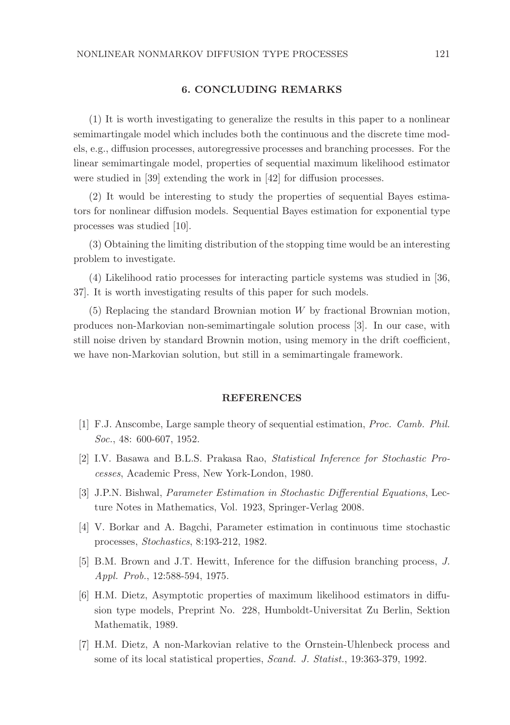# 6. CONCLUDING REMARKS

(1) It is worth investigating to generalize the results in this paper to a nonlinear semimartingale model which includes both the continuous and the discrete time models, e.g., diffusion processes, autoregressive processes and branching processes. For the linear semimartingale model, properties of sequential maximum likelihood estimator were studied in [39] extending the work in [42] for diffusion processes.

(2) It would be interesting to study the properties of sequential Bayes estimators for nonlinear diffusion models. Sequential Bayes estimation for exponential type processes was studied [10].

(3) Obtaining the limiting distribution of the stopping time would be an interesting problem to investigate.

(4) Likelihood ratio processes for interacting particle systems was studied in [36, 37]. It is worth investigating results of this paper for such models.

(5) Replacing the standard Brownian motion W by fractional Brownian motion, produces non-Markovian non-semimartingale solution process [3]. In our case, with still noise driven by standard Brownin motion, using memory in the drift coefficient, we have non-Markovian solution, but still in a semimartingale framework.

#### REFERENCES

- [1] F.J. Anscombe, Large sample theory of sequential estimation, Proc. Camb. Phil. Soc., 48: 600-607, 1952.
- [2] I.V. Basawa and B.L.S. Prakasa Rao, Statistical Inference for Stochastic Processes, Academic Press, New York-London, 1980.
- [3] J.P.N. Bishwal, Parameter Estimation in Stochastic Differential Equations, Lecture Notes in Mathematics, Vol. 1923, Springer-Verlag 2008.
- [4] V. Borkar and A. Bagchi, Parameter estimation in continuous time stochastic processes, Stochastics, 8:193-212, 1982.
- [5] B.M. Brown and J.T. Hewitt, Inference for the diffusion branching process, J. Appl. Prob., 12:588-594, 1975.
- [6] H.M. Dietz, Asymptotic properties of maximum likelihood estimators in diffusion type models, Preprint No. 228, Humboldt-Universitat Zu Berlin, Sektion Mathematik, 1989.
- [7] H.M. Dietz, A non-Markovian relative to the Ornstein-Uhlenbeck process and some of its local statistical properties, Scand. J. Statist., 19:363-379, 1992.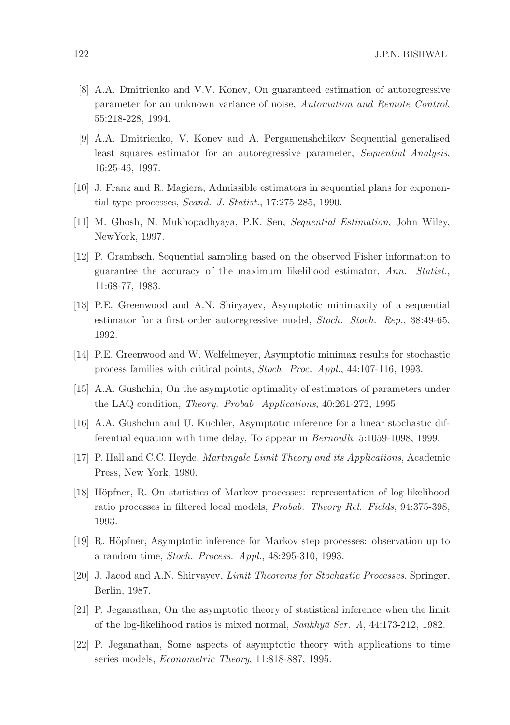- [8] A.A. Dmitrienko and V.V. Konev, On guaranteed estimation of autoregressive parameter for an unknown variance of noise, Automation and Remote Control, 55:218-228, 1994.
- [9] A.A. Dmitrienko, V. Konev and A. Pergamenshchikov Sequential generalised least squares estimator for an autoregressive parameter, Sequential Analysis, 16:25-46, 1997.
- [10] J. Franz and R. Magiera, Admissible estimators in sequential plans for exponential type processes, Scand. J. Statist., 17:275-285, 1990.
- [11] M. Ghosh, N. Mukhopadhyaya, P.K. Sen, Sequential Estimation, John Wiley, NewYork, 1997.
- [12] P. Grambsch, Sequential sampling based on the observed Fisher information to guarantee the accuracy of the maximum likelihood estimator, Ann. Statist., 11:68-77, 1983.
- [13] P.E. Greenwood and A.N. Shiryayev, Asymptotic minimaxity of a sequential estimator for a first order autoregressive model, Stoch. Stoch. Rep., 38:49-65, 1992.
- [14] P.E. Greenwood and W. Welfelmeyer, Asymptotic minimax results for stochastic process families with critical points, Stoch. Proc. Appl., 44:107-116, 1993.
- [15] A.A. Gushchin, On the asymptotic optimality of estimators of parameters under the LAQ condition, Theory. Probab. Applications, 40:261-272, 1995.
- [16] A.A. Gushchin and U. Küchler, Asymptotic inference for a linear stochastic differential equation with time delay, To appear in Bernoulli, 5:1059-1098, 1999.
- [17] P. Hall and C.C. Heyde, Martingale Limit Theory and its Applications, Academic Press, New York, 1980.
- [18] Höpfner, R. On statistics of Markov processes: representation of log-likelihood ratio processes in filtered local models, Probab. Theory Rel. Fields, 94:375-398, 1993.
- [19] R. Höpfner, Asymptotic inference for Markov step processes: observation up to a random time, Stoch. Process. Appl., 48:295-310, 1993.
- [20] J. Jacod and A.N. Shiryayev, Limit Theorems for Stochastic Processes, Springer, Berlin, 1987.
- [21] P. Jeganathan, On the asymptotic theory of statistical inference when the limit of the log-likelihood ratios is mixed normal, Sankhyā Ser. A, 44:173-212, 1982.
- [22] P. Jeganathan, Some aspects of asymptotic theory with applications to time series models, Econometric Theory, 11:818-887, 1995.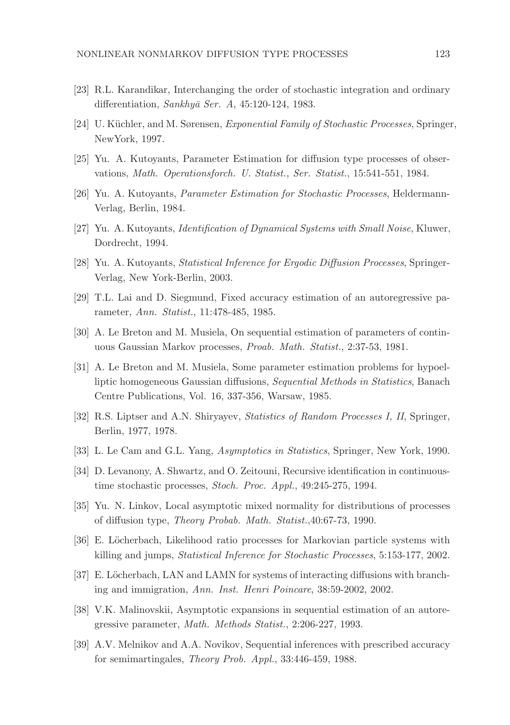- [23] R.L. Karandikar, Interchanging the order of stochastic integration and ordinary differentiation,  $Sankh\nu\bar{a}$  Ser. A, 45:120-124, 1983.
- [24] U. Küchler, and M. Sørensen, *Exponential Family of Stochastic Processes*, Springer, NewYork, 1997.
- [25] Yu. A. Kutoyants, Parameter Estimation for diffusion type processes of observations, Math. Operationsforch. U. Statist., Ser. Statist., 15:541-551, 1984.
- [26] Yu. A. Kutoyants, Parameter Estimation for Stochastic Processes, Heldermann-Verlag, Berlin, 1984.
- [27] Yu. A. Kutoyants, Identification of Dynamical Systems with Small Noise, Kluwer, Dordrecht, 1994.
- [28] Yu. A. Kutoyants, Statistical Inference for Ergodic Diffusion Processes, Springer-Verlag, New York-Berlin, 2003.
- [29] T.L. Lai and D. Siegmund, Fixed accuracy estimation of an autoregressive parameter, Ann. Statist., 11:478-485, 1985.
- [30] A. Le Breton and M. Musiela, On sequential estimation of parameters of continuous Gaussian Markov processes, Proab. Math. Statist., 2:37-53, 1981.
- [31] A. Le Breton and M. Musiela, Some parameter estimation problems for hypoelliptic homogeneous Gaussian diffusions, Sequential Methods in Statistics, Banach Centre Publications, Vol. 16, 337-356, Warsaw, 1985.
- [32] R.S. Liptser and A.N. Shiryayev, Statistics of Random Processes I, II, Springer, Berlin, 1977, 1978.
- [33] L. Le Cam and G.L. Yang, Asymptotics in Statistics, Springer, New York, 1990.
- [34] D. Levanony, A. Shwartz, and O. Zeitouni, Recursive identification in continuoustime stochastic processes, Stoch. Proc. Appl., 49:245-275, 1994.
- [35] Yu. N. Linkov, Local asymptotic mixed normality for distributions of processes of diffusion type, Theory Probab. Math. Statist.,40:67-73, 1990.
- [36] E. Löcherbach, Likelihood ratio processes for Markovian particle systems with killing and jumps, Statistical Inference for Stochastic Processes, 5:153-177, 2002.
- [37] E. Löcherbach, LAN and LAMN for systems of interacting diffusions with branching and immigration, Ann. Inst. Henri Poincare, 38:59-2002, 2002.
- [38] V.K. Malinovskii, Asymptotic expansions in sequential estimation of an autoregressive parameter, Math. Methods Statist., 2:206-227, 1993.
- [39] A.V. Melnikov and A.A. Novikov, Sequential inferences with prescribed accuracy for semimartingales, Theory Prob. Appl., 33:446-459, 1988.